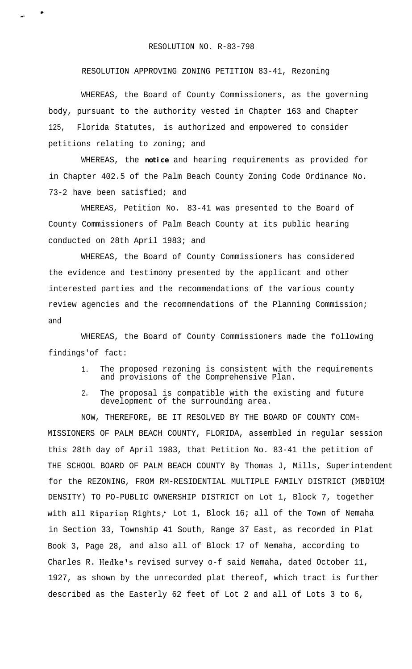## RESOLUTION NO. R-83-798

\*

\*-

## RESOLUTION APPROVING ZONING PETITION 83-41, Rezoning

WHEREAS, the Board of County Commissioners, as the governing body, pursuant to the authority vested in Chapter 163 and Chapter 125, Florida Statutes, is authorized and empowered to consider petitions relating to zoning; and

WHEREAS, the **notice** and hearing requirements as provided for in Chapter 402.5 of the Palm Beach County Zoning Code Ordinance No. 73-2 have been satisfied; and

WHEREAS, Petition No. 83-41 was presented to the Board of County Commissioners of Palm Beach County at its public hearing conducted on 28th April 1983; and

WHEREAS, the Board of County Commissioners has considered the evidence and testimony presented by the applicant and other interested parties and the recommendations of the various county review agencies and the recommendations of the Planning Commission; and

WHEREAS, the Board of County Commissioners made the following findings'of fact:

- 1. The proposed rezoning is consistent with the requirements and provisions of the Comprehensive Plan.
- 2. The proposal is compatible with the existing and future development of the surrounding area.

NOW, THEREFORE, BE IT RESOLVED BY THE BOARD OF COUNTY COM-MISSIONERS OF PALM BEACH COUNTY, FLORIDA, assembled in regular session this 28th day of April 1983, that Petition No. 83-41 the petition of THE SCHOOL BOARD OF PALM BEACH COUNTY By Thomas J, Mills, Superintendent for the REZONING, FROM RM-RESIDENTIAL MULTIPLE FAMILY DISTRICT (MEDIUM DENSITY) TO PO-PUBLIC OWNERSHIP DISTRICT on Lot 1, Block 7, together with all Riparian Rights, Lot 1, Block 16; all of the Town of Nemaha in Section 33, Township 41 South, Range 37 East, as recorded in Plat Book 3, Page 28, and also all of Block 17 of Nemaha, according to Charles R. Hedke's revised survey o-f said Nemaha, dated October 11, 1927, as shown by the unrecorded plat thereof, which tract is further described as the Easterly 62 feet of Lot 2 and all of Lots 3 to 6,